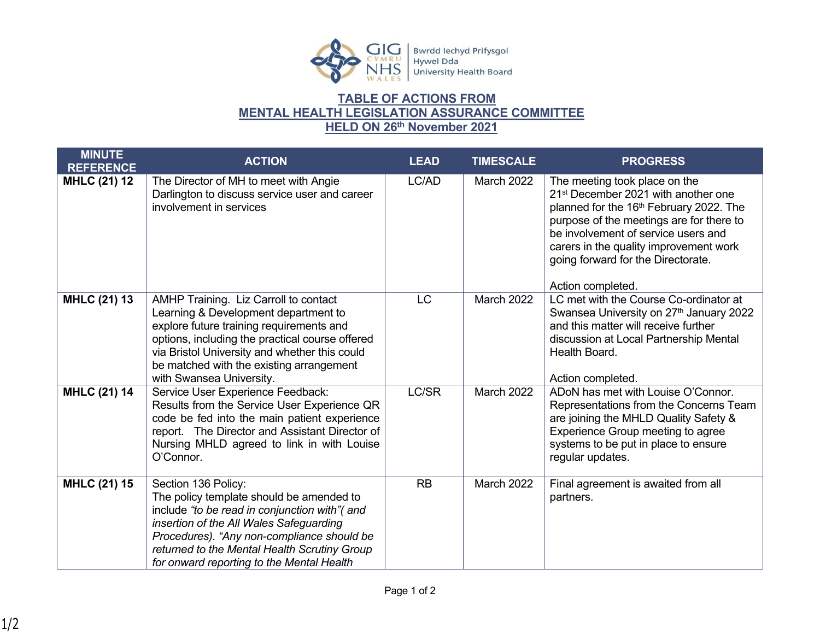

## **TABLE OF ACTIONS FROM MENTAL HEALTH LEGISLATION ASSURANCE COMMITTEE HELD ON 26th November 2021**

| <b>MINUTE</b><br><b>REFERENCE</b> | <b>ACTION</b>                                                                                                                                                                                                                                                                                          | <b>LEAD</b> | <b>TIMESCALE</b>  | <b>PROGRESS</b>                                                                                                                                                                                                                                                                                                                 |
|-----------------------------------|--------------------------------------------------------------------------------------------------------------------------------------------------------------------------------------------------------------------------------------------------------------------------------------------------------|-------------|-------------------|---------------------------------------------------------------------------------------------------------------------------------------------------------------------------------------------------------------------------------------------------------------------------------------------------------------------------------|
| <b>MHLC (21) 12</b>               | The Director of MH to meet with Angie<br>Darlington to discuss service user and career<br>involvement in services                                                                                                                                                                                      | LC/AD       | <b>March 2022</b> | The meeting took place on the<br>21 <sup>st</sup> December 2021 with another one<br>planned for the 16 <sup>th</sup> February 2022. The<br>purpose of the meetings are for there to<br>be involvement of service users and<br>carers in the quality improvement work<br>going forward for the Directorate.<br>Action completed. |
| <b>MHLC (21) 13</b>               | AMHP Training. Liz Carroll to contact<br>Learning & Development department to<br>explore future training requirements and<br>options, including the practical course offered<br>via Bristol University and whether this could<br>be matched with the existing arrangement<br>with Swansea University.  | <b>LC</b>   | March 2022        | LC met with the Course Co-ordinator at<br>Swansea University on 27th January 2022<br>and this matter will receive further<br>discussion at Local Partnership Mental<br>Health Board.<br>Action completed.                                                                                                                       |
| <b>MHLC (21) 14</b>               | Service User Experience Feedback:<br>Results from the Service User Experience QR<br>code be fed into the main patient experience<br>report. The Director and Assistant Director of<br>Nursing MHLD agreed to link in with Louise<br>O'Connor.                                                          | LC/SR       | March 2022        | ADoN has met with Louise O'Connor.<br>Representations from the Concerns Team<br>are joining the MHLD Quality Safety &<br>Experience Group meeting to agree<br>systems to be put in place to ensure<br>regular updates.                                                                                                          |
| <b>MHLC (21) 15</b>               | Section 136 Policy:<br>The policy template should be amended to<br>include "to be read in conjunction with" (and<br>insertion of the All Wales Safeguarding<br>Procedures). "Any non-compliance should be<br>returned to the Mental Health Scrutiny Group<br>for onward reporting to the Mental Health | RB          | March 2022        | Final agreement is awaited from all<br>partners.                                                                                                                                                                                                                                                                                |